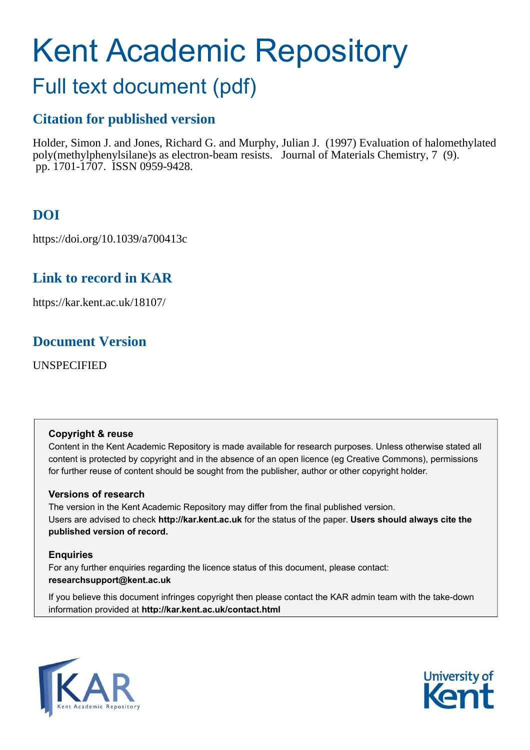# Kent Academic Repository

# Full text document (pdf)

# **Citation for published version**

Holder, Simon J. and Jones, Richard G. and Murphy, Julian J. (1997) Evaluation of halomethylated poly(methylphenylsilane)s as electron-beam resists. Journal of Materials Chemistry, 7 (9). pp. 1701-1707. ISSN 0959-9428.

# **DOI**

https://doi.org/10.1039/a700413c

# **Link to record in KAR**

https://kar.kent.ac.uk/18107/

# **Document Version**

UNSPECIFIED

# **Copyright & reuse**

Content in the Kent Academic Repository is made available for research purposes. Unless otherwise stated all content is protected by copyright and in the absence of an open licence (eg Creative Commons), permissions for further reuse of content should be sought from the publisher, author or other copyright holder.

# **Versions of research**

The version in the Kent Academic Repository may differ from the final published version. Users are advised to check **http://kar.kent.ac.uk** for the status of the paper. **Users should always cite the published version of record.**

# **Enquiries**

For any further enquiries regarding the licence status of this document, please contact: **researchsupport@kent.ac.uk**

If you believe this document infringes copyright then please contact the KAR admin team with the take-down information provided at **http://kar.kent.ac.uk/contact.html**



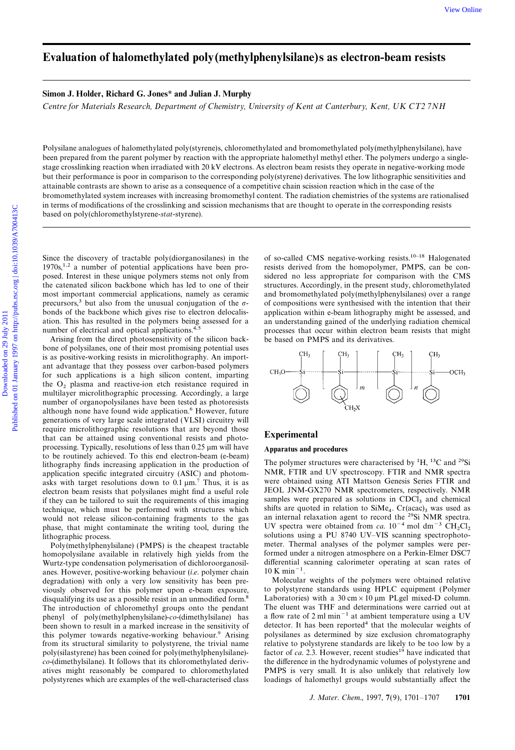### Evaluation of halomethylated poly(methylphenylsilane)s as electron-beam resists

### Simon J. Holder, Richard G. Jones\* and Julian J. Murphy

Centre for Materials Research, Department of Chemistry, University of Kent at Canterbury, Kent, UK CT2 7NH

Polysilane analogues of halomethylated poly(styrene)s, chloromethylated and bromomethylated poly(methylphenylsilane), have been prepared from the parent polymer by reaction with the appropriate halomethyl methyl ether. The polymers undergo a singlestage crosslinking reaction when irradiated with 20 kV electrons. As electron beam resists they operate in negative-working mode but their performance is poor in comparison to the corresponding poly(styrene) derivatives. The low lithographic sensitivities and attainable contrasts are shown to arise as a consequence of a competitive chain scission reaction which in the case of the bromomethylated system increases with increasing bromomethyl content. The radiation chemistries of the systems are rationalised in terms of modifications of the crosslinking and scission mechanisms that are thought to operate in the corresponding resists based on poly(chloromethylstyrene-stat-styrene).

 $1970s$ ,<sup>1,2</sup> a number of potential applications have been pro-<br>resists derived from the homopolymer, PMPS, can be conposed. Interest in these unique polymers stems not only from sidered no less appropriate for comparison with the CMS the catenated silicon backbone which has led to one of their structures. Accordingly, in the present study, chloromethylated most important commercial applications, namely as ceramic and bromomethylated poly(methylphenylsilanes) over a range precursors,<sup>3</sup> but also from the unusual conjugation of the  $\sigma$ - of compositions were synthesised with the intention that their bonds of the backbone which gives rise to electron delocalis- application within e-beam lith ation. This has resulted in the polymers being assessed for a an understanding gained of the underlying radiation chemical

Arising from the direct photosensitivity of the silicon backbone of polysilanes, one of their most promising potential uses is as positive-working resists in microlithography. An important advantage that they possess over carbon-based polymers for such applications is a high silicon content, imparting the O2 plasma and reactive-ion etch resistance required in multilayer microlithographic processing. Accordingly, a large number of organopolysilanes have been tested as photoresists although none have found wide application.<sup>6</sup> However, future generations of very large scale integrated (VLSI) circuitry will require microlithographic resolutions that are beyond those that can be attained using conventional resists and photo-<br>Experimental processing. Typically, resolutions of less than 0.25  $\mu$ m will have Apparatus and procedures to be routinely achieved. To this end electron-beam (e-beam) Ithography finds increasing application in the production of The polymer structures were characterised by <sup>1</sup>H, <sup>13</sup>C and <sup>29</sup>Si application specific integrated circuitry (ASIC) and photom-NMR, FTIR and UV spectroscopy. FT application specific integrated circuitry (ASIC) and photom-<br>asks with target resolutions down to 0.1  $\mu$ m.<sup>7</sup> Thus, it is as were obtained using ATI Mattson Genesis Series FTIR and asks with target resolutions down to  $0.1 \mu m$ .<sup>7</sup> Thus, it is as were obtained using ATI Mattson Genesis Series FTIR and electron beam resists that polygilanes might find a useful role JEOL JNM-GX270 NMR spectrometers, re electron beam resists that polysilanes might find a useful role if they can be tailored to suit the requirements of this imaging technique, which must be performed with structures which shifts are quoted in relation to  $\sin M_{e_4}$ .  $\text{Cr}(\text{acac})_3$  was used as technique, which must be performed with structures which shifts are quoted in relation to SiMe<sub>4</sub>. Cr(acac)<sub>3</sub> was used as would not release silicon-containing fragments to the gas an internal relaxation agent to record th phase, that might contaminate the writing tool, during the

homopolysilane available in relatively high yields from the formed under a nitrogen atmosphere on a Perkin-Elmer DSC7<br>Wurtz-type condensation polymerisation of dichloroorganosil- differential scanning calorimeter operating Wurtz-type condensation polymerisation of dichloroorganosil-<br>anes. However, positive-working behaviour *(i.e.* polymer chain 10 K min<sup>-1</sup>. anes. However, positive-working behaviour (*i.e.* polymer chain  $10 \text{ K min}^{-1}$ .<br>degradation) with only a very low sensitivity has been pre-<br>Molecular weights of the polymers were obtained relative degradation) with only a very low sensitivity has been pre-<br>viously observed for this polymer upon e-beam exposure. disqualifying its use as a possible resist in an unmodified form.<sup>8</sup> Laboratories) with a 30 cm  $\times$  10  $\mu$ m PLgel mixed-D column.<br>The introduction of chloromethyl groups onto the pendant The eluent was THF and determina The introduction of chloromethyl groups onto the pendant phenyl of poly(methylphenylsilane)-co-(dimethylsilane) has a flow rate of 2 ml min−1 at ambient temperature using a UV been shown to result in a marked increase in the sensitivity of detector. It has been reported<sup>4</sup> that the molecular weights of this polymer towards negative-working behaviour.9 Arising polysilanes as determined by size exclusion chromatography from its structural similarity to polystyrene, the trivial name relative to polystyrene standards are likely to be too low by a poly(silastyrene) has been coined for poly(methylphenylsilane) factor of *ca*. 2.3. However, r poly(silastyrene) has been coined for poly(methylphenylsilane)co-(dimethylsilane). It follows that its chloromethylated deriv-<br>the difference in the hydrodynamic volumes of polystyrene and atives might reasonably be compared to chloromethylated PMPS is very small. It is also unlikely that relatively low polystyrenes which are examples of the well-characterised class loadings of halomethyl groups would substantially affect the

Since the discovery of tractable poly(diorganosilanes) in the of so-called CMS negative-working resists.<sup>10-18</sup> Halogenated application within e-beam lithography might be assessed, and number of electrical and optical applications.<sup>4,5</sup> processes that occur within electron beam resists that might Arising from the direct photosensitivity of the silicon back-<br>be based on PMPS and its derivatives.



samples were prepared as solutions in  $CDC<sub>13</sub>$  and chemical UV spectra were obtained from ca.  $10^{-4}$  mol dm<sup>-3</sup> CH<sub>2</sub>Cl<sub>2</sub> ithographic process.<br>
Poly(methylphenylsilane) (PMPS) is the cheapest tractable meter. Thermal analyses of the polymer samples were per-Poly(methylphenylsilane) (PMPS) is the cheapest tractable meter. Thermal analyses of the polymer samples were per-<br>propolysilane available in relatively high vields from the formed under a nitrogen atmosphere on a Perkin-E

to polystyrene standards using HPLC equipment (Polymer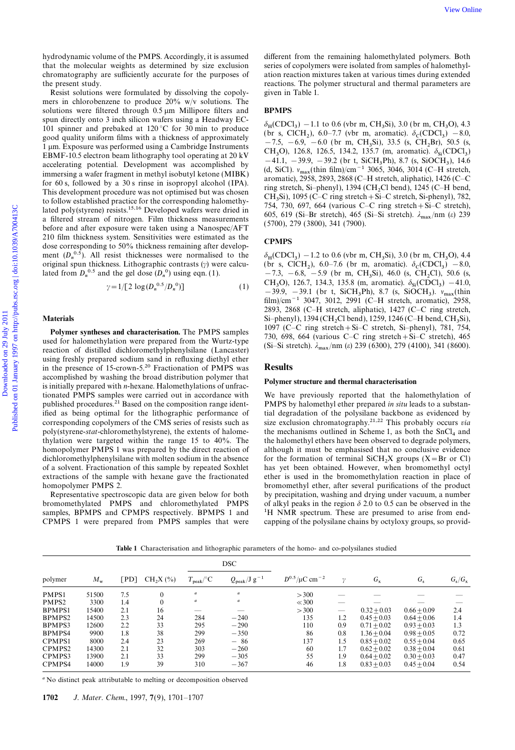chromatography are sufficiently accurate for the purposes of ation reaction mixtures taken at various times during extended the present study. The polymer structural and thermal parameters are polymer structural and thermal parameters are

Resist solutions were formulated by dissolving the copoly- given in Table 1. mers in chlorobenzene to produce 20% w/v solutions. The solutions were filtered through 0.5 um Millipore filters and BPMPS spun directly onto 3 inch silicon wafers using a Headway EC-<br>101 spinner and prebaked at  $120^{\circ}$ C for 30 min to produce Of a produce (br s, ClCH<sub>2</sub>), 6.0–7.7 (br m, CH<sub>3</sub>Si), 3.0 (br m, CH<sub>3</sub>O), 4.3<br>
101 spinner and prebaked at 120 °C for 30 min to produce<br>
good quality uniform films with a thickness of approximately<br>  $\frac{-7.5}{-7.5}$ , −6.9  $\begin{array}{r} \text{Down. Exposure was performed using a Cambridge Instruments} \\ \text{H, B, 50.5 (s)} \end{array}$   $\begin{array}{r} -7.5, -6.9, -6.0 \text{ (br m, CH<sub>3</sub>Si), 33.5 (s, CH<sub>2</sub>Br), 50.5 (s, CH<sub>3</sub>Br), 50.5 (s, CH<sub>3</sub>Br), 50.5 (s, CH<sub>3</sub>Br), 50.5 (s, CH<sub>3</sub>Br), 50.5 (s, CH<sub>3</sub>Br), 50.5 (s, CH<sub>3</sub>Br), 50.5 (s, CH<$ EBMF-10.5 electron beam lithography tool operating at 20 kV<br>accelerating potential. Development was accomplished by<br>immersing a wafer fragment in methyl isobutyl ketone (MIBK)<br>for 60 s, followed by a 30 s rinse in isoprop for 60 s, followed by a 30 s rinse in isopropyl alcohol (IPA).<br>
This development procedure was not optimised but was chosen<br>
to follow established practice for the corresponding halomethy-<br>
Lated notice was chosen to foll lated poly(styrene) resists.<sup>15,16</sup> Developed wafers were dried in<br>a filtered stream of nitrogen. Film thickness measurements<br>before and efter a measurements between the major a Management (5700), 279 (3800), 341 (7900). a filtered stream of nitrogen. Film thickness measurements before and after exposure were taken using a Nanospec/AFT 210 film thickness system. Sensitivities were estimated as the dose corresponding to 50% thickness remaining after develop-<br>CPMPS ment  $(D_n^{0.5})$ . All resist thicknesses were normalised to the  $\delta$ original spun thickness. Lithographic contrasts  $(y)$  were calculated from  $D_n^{0.5}$  and the gel dose  $(D_n)$ 

$$
\gamma = 1/ [2 \log (D_n^{0.5}/D_n^{0}) ] \tag{1}
$$

using freshly prepared sodium sand in refluxing diethyl ether in the presence of 15-crown-5.<sup>20</sup> Fractionation of PMPS was **Results** accomplished by washing the broad distribution polymer that accomplished by washing the broad distribution polymer that **Polymer structure and thermal characterisation** is initially prepared with *n*-hexane. Halomethylations of unfractionated PMPS samples were carried out in accordance with We have previously reported that the halomethylation of published procedures.<sup>21</sup> Based on the composition range ident-<br>ified as being optimal for the lithographic performance of tial degradation of the polysilane backbone as evidenced by poly(styrene-stat-chloromethylstyrene), the extents of halome-<br>thylation were targeted within the range 15 to 40%. The homopolymer PMPS 1 was prepared by the direct reaction of although it must be emphasised that no conclusive evidence

bromomethylated PMPS and chloromethylated PMPS of alkyl peaks in the region  $\delta$  2.0 to 0.5 can be observed in the samples. BPMPS and CPMPS respectively. BPMPS 1 and <sup>1</sup>H NMR spectrum. These are presumed to arise from end samples, BPMPS and CPMPS respectively. BPMPS 1 and

hydrodynamic volume of the PMPS. Accordingly, it is assumed different from the remaining halomethylated polymers. Both that the molecular weights as determined by size exclusion series of copolymers were isolated from samp series of copolymers were isolated from samples of halomethyl-

 $_{\text{H}}$ (CDCl<sub>3</sub>) – 1.1 to 0.6 (vbr m, CH<sub>3</sub>Si), 3.0 (br m, CH<sub>3</sub>  $-7.5, -6.9, -6.0$  (br m, CH<sub>3</sub>Si), 33.5 (s, CH<sub>2</sub>Br), 50.5 (s,

 $_{\text{H}}$ (CDCl<sub>3</sub>) – 1.2 to 0.6 (vbr m, CH<sub>3</sub>Si), 3.0 (br m, CH<sub>3</sub>O), 4.4 ), 6.0–7.6 (br m, aromatic).  $\delta_c(CDCl_3)$  –8.0, 0) using eqn. (1).  $-7.3$ ,  $-6.8$ ,  $-5.9$  (br m, CH<sub>3</sub>Si), 46.0 (s, CH<sub>2</sub>Cl), 50.6 (s, CH<sub>3</sub>O), 126.7, 134.3, 135.8 (m, aromatic).  $\delta_{Si}(\text{CDCl}_3)$  –41.0, 0)] (1)  $CH_3O$ , 126.7, 134.3, 135.8 (m, aromatic).  $\delta_{si}(CDCl_3) = 41.0$ ,<br>-39.9, -39.1 (br t, SiCH<sub>3</sub>Ph), 8.7 (s, SiOCH<sub>3</sub>).  $v_{max}(thin)$ film)/cm−1 3047, 3012, 2991 (C–H stretch, aromatic), 2958, 2893, 2868 (C–H stretch, aliphatic), 1427 (C–C ring stretch, Materials  $\text{Si-phenyl}$ ), 1394 (CH<sub>2</sub>Cl bend), 1259, 1246 (C–H bend, CH<sub>3</sub>Si), **Polymer syntheses and characterisation.** The PMPS samples<br>used for halomethylation were prepared from the Wurtz-type<br>reaction of distilled dichloromethylphenylsilane (Lancaster)<br>(Si-Si stretch).  $\lambda_{\text{max}}/\text{nm}$  ( $\varepsilon$ ) 2

tial degradation of the polysilane backbone as evidenced by corresponding copolymers of the CMS series of resists such as size exclusion chromatography.<sup>21,22</sup> This probably occurs via the mechanisms outlined in Scheme 1, as both the  $SnCl<sub>4</sub>$  and the halomethyl ethers have been observed to degrade polymers, dichloromethylphenylsilane with molten sodium in the absence for the formation of terminal  $SiCH_2X$  groups (X=Br or Cl) of a solvent. Fractionation of this sample by repeated Soxhlet has yet been obtained. However, when bromomethyl octyl extractions of the sample with hexane gave the fractionated ether is used in the bromomethylation reaction in place of homopolymer PMPS 2. bromomethyl ether, after several purifications of the product Representative spectroscopic data are given below for both by precipitation, washing and drying under vacuum, a number CPMPS 1 were prepared from PMPS samples that were capping of the polysilane chains by octyloxy groups, so provid-

DSC polymer  $M_{\rm w}$  $[PD]$  $CH<sub>2</sub>X$  (%)  $T_{\rm peak}/{\rm ^{\circ}C}$   $\qquad \ \ Q_{\rm peak}/J~{\rm g}^{-1}$  $D^{0.5}/μC$  cm<sup>−2</sup> γ  $G_{x}$  $G_{\rm s}$  $G_{\rm s}/G_{\rm x}$ PMPS1 51500 7.5 0  $a$  a  $>300$  -  $-$  -  $-$ PMPS2 3300 1.4 0  $a$  a  $\approx 300$  -  $-$  -  $-$ BPMPS1 15400 2.1 16 — —  $>300$  —  $0.32 \pm 0.03$   $0.66 \pm 0.09$  2.4 BPMPS2 14500 2.3 24 284 −240 135 1.2  $0.45 \pm 0.03$   $0.64 \pm 0.06$  1.4 BPMPS3 12600 2.2 33 295 −290 110 0.9  $0.71 \pm 0.02$   $0.93 \pm 0.03$  1.3 BPMPS4 9900 1.8 38 299 −350 86 0.8  $1.36 \pm 0.04$  0.98 $\pm 0.05$  0.72  $CPMPS1$  8000 2.4 23 269 − 86 137 1.5 0.85 $\pm$ 0.02 0.55 $\pm$ 0.04 0.65 CPMPS2 14300 2.1 32 303 −260 60 1.7  $0.62 \pm 0.02$  0.38 $\pm 0.04$  0.61 CPMPS3 13900 2.1 33 299 −305 55 1.9  $0.64 \pm 0.02$   $0.30 \pm 0.03$  0.47 CPMPS4 14000 1.9 39 310 −367 46 1.8  $0.83 \pm 0.03$  0.45 $\pm 0.04$  0.54

Table 1 Characterisation and lithographic parameters of the homo- and co-polysilanes studied

<sup>a</sup> No distinct peak attributable to melting or decomposition observed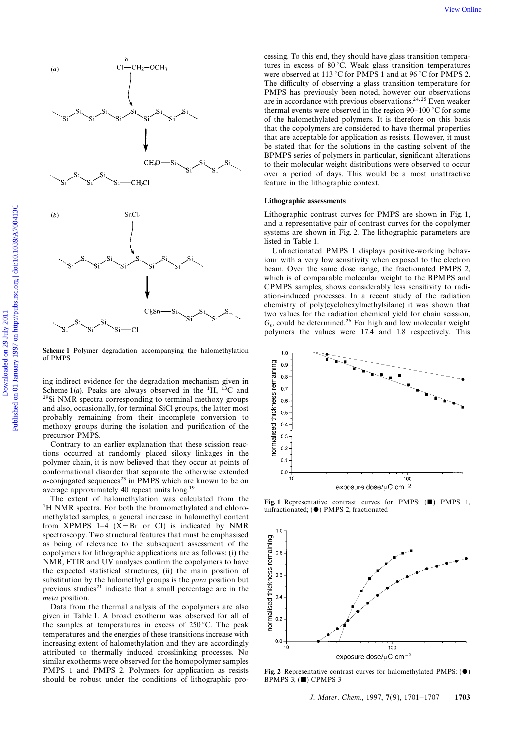

Scheme 1 Polymer degradation accompanying the halomethylation of PMPS

ing indirect evidence for the degradation mechanism given in Scheme  $1(a)$ . Peaks are always observed in the <sup>1</sup>H, <sup>13</sup>C and <sup>29</sup>Si NMR spectra corresponding to terminal methoxy groups and also, occasionally, for terminal SiCl groups, the latter most probably remaining from their incomplete conversion to methoxy groups during the isolation and purification of the precursor PMPS.

Contrary to an earlier explanation that these scission reactions occurred at randomly placed siloxy linkages in the polymer chain, it is now believed that they occur at points of conformational disorder that separate the otherwise extended  $\sigma$ -conjugated sequences<sup>23</sup> in PMPS which are known to be on average approximately 40 repeat units long.19

The extent of halomethylation was calculated from the Fig. 1 Representative contrast curves for PMPS: ( $\blacksquare$ ) PMPS 1,<br><sup>1</sup>H NMR spectra. For both the bromomethylated and chloro- unfractionated; ( $\spadesuit$ ) PMPS 2, fractionat methylated samples, a general increase in halomethyl content from XPMPS 1–4  $(X=Br \text{ or } Cl)$  is indicated by NMR spectroscopy. Two structural features that must be emphasised as being of relevance to the subsequent assessment of the copolymers for lithographic applications are as follows: (i) the NMR, FTIR and UV analyses confirm the copolymers to have the expected statistical structures; (ii) the main position of substitution by the halomethyl groups is the *para* position but previous studies<sup>21</sup> indicate that a small percentage are in the meta position.

Data from the thermal analysis of the copolymers are also given in Table 1. A broad exotherm was observed for all of the samples at temperatures in excess of  $250^{\circ}$ C. The peak temperatures and the energies of these transitions increase with increasing extent of halomethylation and they are accordingly attributed to thermally induced crosslinking processes. No similar exotherms were observed for the homopolymer samples **PMPS 1 and PMPS 2. Polymers for application as resists** Fig. 2 Representative contrast curves for halomethylated PMPS: ( $\bullet$ ) should be robust under the conditions of lithographic pro-BPMPS 3; ( $\bullet$ ) CPMPS 3 should be robust under the conditions of lithographic pro-

cessing. To this end, they should have glass transition temperatures in excess of 80 °C. Weak glass transition temperatures were observed at 113 °C for PMPS 1 and at 96 °C for PMPS 2. The difficulty of observing a glass transition temperature for PMPS has previously been noted, however our observations are in accordance with previous observations.<sup>24,25</sup> Even weaker thermal events were observed in the region 90–100 °C for some of the halomethylated polymers. It is therefore on this basis that the copolymers are considered to have thermal properties that are acceptable for application as resists. However, it must be stated that for the solutions in the casting solvent of the BPMPS series of polymers in particular, significant alterations to their molecular weight distributions were observed to occur over a period of days. This would be a most unattractive feature in the lithographic context.

### Lithographic assessments

Lithographic contrast curves for PMPS are shown in Fig. 1, and a representative pair of contrast curves for the copolymer systems are shown in Fig. 2. The lithographic parameters are listed in Table 1.

Unfractionated PMPS 1 displays positive-working behaviour with a very low sensitivity when exposed to the electron beam. Over the same dose range, the fractionated PMPS 2, which is of comparable molecular weight to the BPMPS and CPMPS samples, shows considerably less sensitivity to radiation-induced processes. In a recent study of the radiation chemistry of poly(cyclohexylmethylsilane) it was shown that two values for the radiation chemical yield for chain scission,  $G_s$ , could be determined.<sup>26</sup> For high and low molecular weight polymers the values were 17.4 and 1.8 respectively. This



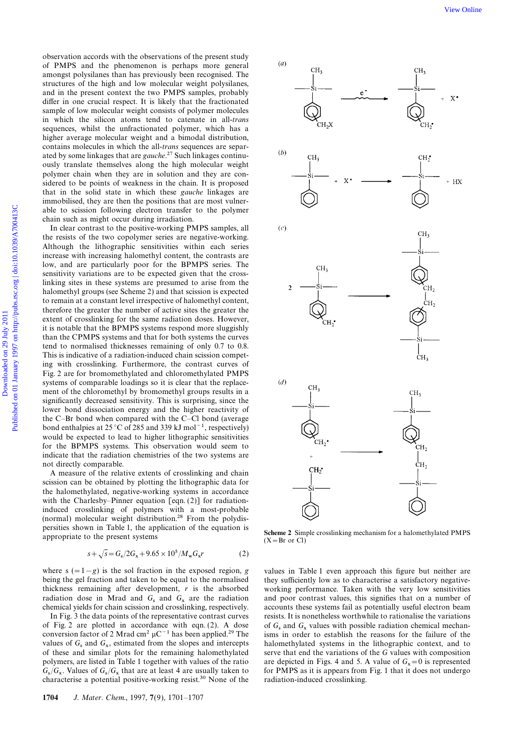observation accords with the observations of the present study of PMPS and the phenomenon is perhaps more general amongst polysilanes than has previously been recognised. The structures of the high and low molecular weight polysilanes, and in the present context the two PMPS samples, probably differ in one crucial respect. It is likely that the fractionated sample of low molecular weight consists of polymer molecules in which the silicon atoms tend to catenate in all-trans sequences, whilst the unfractionated polymer, which has a higher average molecular weight and a bimodal distribution, contains molecules in which the all-trans sequences are separated by some linkages that are gauche.<sup>27</sup> Such linkages continuously translate themselves along the high molecular weight polymer chain when they are in solution and they are considered to be points of weakness in the chain. It is proposed that in the solid state in which these gauche linkages are immobilised, they are then the positions that are most vulnerable to scission following electron transfer to the polymer chain such as might occur during irradiation.

In clear contrast to the positive-working PMPS samples, all the resists of the two copolymer series are negative-working. Although the lithographic sensitivities within each series increase with increasing halomethyl content, the contrasts are low, and are particularly poor for the BPMPS series. The sensitivity variations are to be expected given that the crosslinking sites in these systems are presumed to arise from the halomethyl groups (see Scheme 2) and that scission is expected to remain at a constant level irrespective of halomethyl content, therefore the greater the number of active sites the greater the extent of crosslinking for the same radiation doses. However, it is notable that the BPMPS systems respond more sluggishly than the CPMPS systems and that for both systems the curves tend to normalised thicknesses remaining of only 0.7 to 0.8. This is indicative of a radiation-induced chain scission competing with crosslinking. Furthermore, the contrast curves of Fig. 2 are for bromomethylated and chloromethylated PMPS systems of comparable loadings so it is clear that the replacement of the chloromethyl by bromomethyl groups results in a significantly decreased sensitivity. This is surprising, since the lower bond dissociation energy and the higher reactivity of the C–Br bond when compared with the C–Cl bond (average bond enthalpies at 25 °C of 285 and 339 kJ mol−1, respectively) would be expected to lead to higher lithographic sensitivities for the BPMPS systems. This observation would seem to indicate that the radiation chemistries of the two systems are not directly comparable.

A measure of the relative extents of crosslinking and chain scission can be obtained by plotting the lithographic data for the halomethylated, negative-working systems in accordance with the Charlesby–Pinner equation [eqn. (2)] for radiationinduced crosslinking of polymers with a most-probable (normal) molecular weight distribution.28 From the polydispersities shown in Table 1, the application of the equation is<br>  $\text{Scheme 2 Simple crosslinking mechanism for a halomethylated PMPS}$   $(X = Br \text{ or Cl})$ 

$$
s + \sqrt{s} = G_s / 2G_x + 9.65 \times 10^5 / M_w G_x r \tag{2}
$$

where s  $(=1-g)$  is the sol fraction in the exposed region, g values in Table 1 even approach this figure but neither are being the gel fraction and taken to be equal to the normalised they sufficiently low as to characterise a satisfactory negativethickness remaining after development,  $r$  is the absorbed working performance. Taken with the very low sensitivities radiation dose in Mrad and  $G_s$  and  $G_x$ radiation dose in Mrad and  $G_s$  and  $G_x$  are the radiation and poor contrast values, this signifies that on a number of chemical yields for chain scission and crosslinking, respectively. accounts these systems fail as pot

of Fig. 2 are plotted in accordance with eqn.  $(2)$ . A dose conversion factor of 2 Mrad cm<sup>2</sup>  $\mu$ C<sup>−1</sup> has been applied.<sup>29</sup> The isms in order to establish the reasons for the failure of the values of  $G_s$  and  $G_x$ polymers, are listed in Table 1 together with values of the ratio  $G_s/G_x$ . Values of  $G_s/G_x$ characterise a potential positive-working resist.30 None of the radiation-induced crosslinking.



accounts these systems fail as potentially useful electron beam In Fig. 3 the data points of the representative contrast curves resists. It is nonetheless worthwhile to rationalise the variations  $s$  and  $G_x$  values with possible radiation chemical mechanvalues of  $G_s$  and  $G_x$ , estimated from the slopes and intercepts halomethylated systems in the lithographic context, and to of these and similar plots for the remaining halomethylated serve that end the variations of the serve that end the variations of the  $G$  values with composition  $x = 0$  is represented for PMPS as it is appears from Fig. 1 that it does not undergo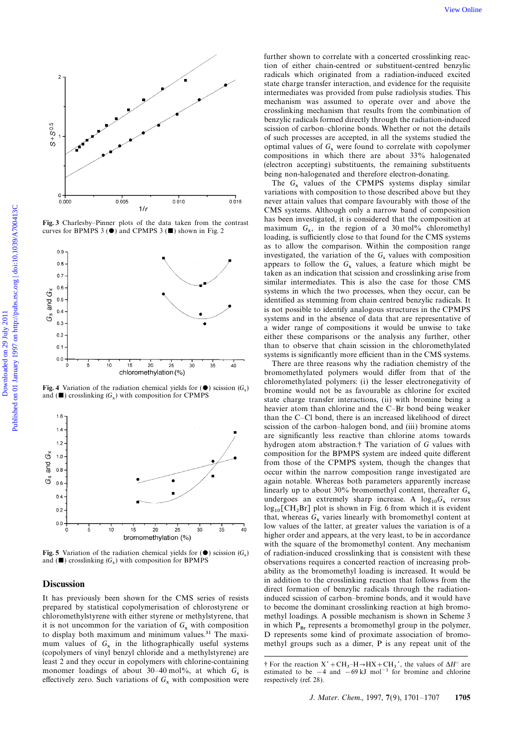



Fig. 4 Variation of the radiation chemical yields for  $(\bullet)$  scission  $(G_s)$ and ( $\blacksquare$ ) crosslinking ( $G_x$ ) with composition for CPMPS



Fig. 5 Variation of the radiation chemical yields for  $(\bullet)$  scission  $(G_s)$ and  $(\blacksquare)$  crosslinking  $(G_x)$ 

It has previously been shown for the CMS series of resists prepared by statistical copolymerisation of chlorostyrene or to become the dominant crosslinking reaction at high bromochloromethylstyrene with either styrene or methylstyrene, that methyl loadings. A possible mechanism is shown in Scheme 3 it is not uncommon for the variation of  $G_x$ to display both maximum and minimum values.<sup>31</sup> The maximum values of  $G_x$ (copolymers of vinyl benzyl chloride and a methylstyrene) are least 2 and they occur in copolymers with chlorine-containing monomer loadings of about  $30-40$  mol%, at which  $G_s$ effectively zero. Such variations of  $G_x$  with composition were respectively (ref. 28).

further shown to correlate with a concerted crosslinking reaction of either chain-centred or substituent-centred benzylic radicals which originated from a radiation-induced excited state charge transfer interaction, and evidence for the requisite intermediates was provided from pulse radiolysis studies. This mechanism was assumed to operate over and above the crosslinking mechanism that results from the combination of benzylic radicals formed directly through the radiation-induced scission of carbon–chlorine bonds. Whether or not the details of such processes are accepted, in all the systems studied the optimal values of  $G_x$  were found to correlate with copolymer compositions in which there are about 33% halogenated (electron accepting) substituents, the remaining substituents being non-halogenated and therefore electron-donating.

The  $G_x$  values of the CPMPS systems display similar variations with composition to those described above but they never attain values that compare favourably with those of the CMS systems. Although only a narrow band of composition Fig. 3 Charlesby–Pinner plots of the data taken from the contrast has been investigated, it is considered that the composition at the composition at the composition of a 30 mol% chloromethyl curves for BPMPS 3 ( $\bullet$ ) and loading, is sufficiently close to that found for the CMS systems as to allow the comparison. Within the composition range investigated, the variation of the  $G_s$  values with composition appears to follow the  $G_x$  values, a feature which might be taken as an indication that scission and crosslinking arise from similar intermediates. This is also the case for those CMS systems in which the two processes, when they occur, can be identified as stemming from chain centred benzylic radicals. It is not possible to identify analogous structures in the CPMPS systems and in the absence of data that are representative of a wider range of compositions it would be unwise to take either these comparisons or the analysis any further, other than to observe that chain scission in the chloromethylated systems is significantly more efficient than in the CMS systems.

There are three reasons why the radiation chemistry of the bromomethylated polymers would differ from that of the chloromethylated polymers: (i) the lesser electronegativity of bromine would not be as favourable as chlorine for excited state charge transfer interactions, (ii) with bromine being a heavier atom than chlorine and the C–Br bond being weaker than the C–Cl bond, there is an increased likelihood of direct scission of the carbon–halogen bond, and (iii) bromine atoms are significantly less reactive than chlorine atoms towards hydrogen atom abstraction.† The variation of G values with composition for the BPMPS system are indeed quite different from those of the CPMPS system, though the changes that occur within the narrow composition range investigated are again notable. Whereas both parameters apparently increase linearly up to about 30% bromomethyl content, thereafter  $G_x$ undergoes an extremely sharp increase. A  $\log_{10} G_x$  versus  $log_{10}[CH_2Br]$  plot is shown in Fig. 6 from which it is evident that, whereas  $G_x$  varies linearly with bromomethyl content at low values of the latter, at greater values the variation is of a higher order and appears, at the very least, to be in accordance with the square of the bromomethyl content. Any mechanism ) of radiation-induced crosslinking that is consistent with these observations requires a concerted reaction of increasing probability as the bromomethyl loading is increased. It would be **Discussion**<br>It has previously been shown for the CMS series of resists induced scission of carbon-bromine bonds and it would have in which  $P_{Br}$  represents a bromomethyl group in the polymer, D represents some kind of proximate association of bromomethyl groups such as a dimer, P is any repeat unit of the

 $-H \rightarrow HX + CH_3$ ; the values of  $\Delta H^{\circ}$  are estimated to be  $-4$  and  $-69$  kJ mol<sup>-1</sup> for bromine and chlorine respectively (ref. 28).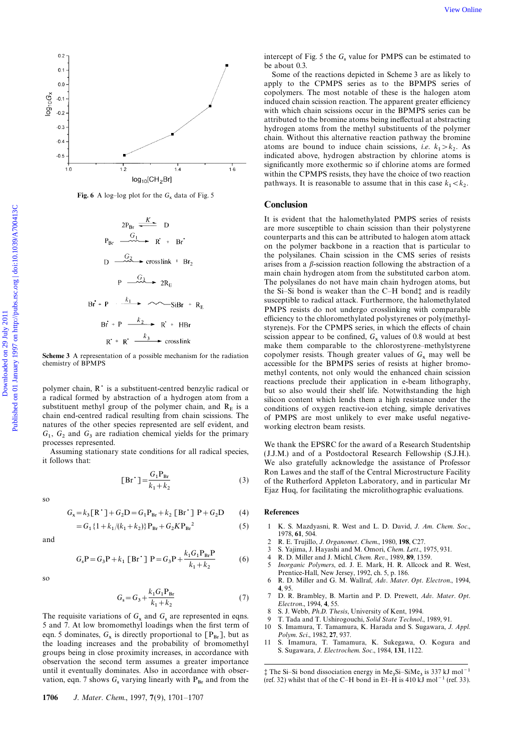

**Fig. 6** A log-log plot for the  $G_x$  data of Fig. 5

$$
2P_{Br} \xrightarrow{K} D
$$
  
\n
$$
P_{Br} \xrightarrow{G_1} R' + Br'
$$
  
\n
$$
D \xrightarrow{G_2} \text{crosslink} + Br_2
$$
  
\n
$$
P \xrightarrow{G_3} 2R_E
$$
  
\n
$$
Br + P \xrightarrow{k_1} \xrightarrow{K_2} R' + HBr
$$
  
\n
$$
R' + R' \xrightarrow{k_3} \text{crosslink}
$$

substituent methyl group of the polymer chain, and  $R<sub>E</sub>$  is a chain end-centred radical resulting from chain scissions. The natures of the other species represented are self evident, and working electron beam resists.  $G_1$ ,  $G_2$  and  $G_3$  are radiation chemical yields for the primary

Assuming stationary state conditions for all radical species, (J.J.M.) and of a Postdoctoral Research Fellowship (S.J.H.).<br>It follows that: We also gratefully acknowledge the assistance of Professor

$$
[Br^{\dagger}] = \frac{G_1 P_{Br}}{k_1 + k_2} \tag{3}
$$

so

$$
G_x = k_3 [\mathbf{R}^{\dagger}] + G_2 \mathbf{D} = G_1 \mathbf{P}_{\text{Br}} + k_2 [\mathbf{Br}^{\dagger}] \mathbf{P} + G_2 \mathbf{D} \qquad (4) \qquad \text{References}
$$

$$
=G_1\{1+k_1/(k_1+k_2)\}P_{Br}+G_2KP_{Br}^2\tag{5}
$$

$$
f_{\rm{max}}
$$

$$
G_{s}P = G_{3}P + k_{1} [Br^{*}] P = G_{3}P + \frac{k_{1}G_{1}P_{Br}P}{k_{1} + k_{2}}
$$
 (6)

$$
G_{\rm s} = G_3 + \frac{k_1 G_1 P_{\rm Br}}{k_1 + k_2} \tag{7}
$$

The requisite variations of  $G_x$  and  $G_s$  are represented in eqns. <sup>8</sup> S. J. Webb, Ph.D. Thesis, University of Kent, 1994.<br>9 T. Tada and T. Ushirogouchi, Solid State Technol. are represented in eqns. 9 T. Tada and T. Ushirogouchi, *Solid State Technol.*, 1989, 91.<br>5 and 7. At low bromomethyl loadings when the first term of 10 S. Imamura. T. Tamamura. K. Harada and S. Sugawara. J. eqn. 5 dominates,  $G_x$  is directly proportional to  $[P_{Br}]$ , but as  $Polym.$  Sci., 1982, 27, 937. the loading increases and the probability of bromomethyl 11 S. Imamura, T. Tamamura, K. Sukegawa, O. Kogura and sroups being in close proximity increases in accordance with S. Sugawara, J. Electrochem. Soc., 1984, 131, 112 groups being in close proximity increases, in accordance with observation the second term assumes a greater importance until it eventually dominates. Also in accordance with obser-<br>vation, eqn. 7 shows  $G_s$  varying linearly with  $P_{Br}$  and from the (ref. 32) whilst that of the C-H bond in Et-H is 410 kJ mol<sup>-1</sup> (ref. 33).

intercept of Fig. 5 the  $G_s$  value for PMPS can be estimated to be about 0.3.

Some of the reactions depicted in Scheme 3 are as likely to apply to the CPMPS series as to the BPMPS series of copolymers. The most notable of these is the halogen atom induced chain scission reaction. The apparent greater efficiency with which chain scissions occur in the BPMPS series can be attributed to the bromine atoms being ineffectual at abstracting hydrogen atoms from the methyl substituents of the polymer chain. Without this alternative reaction pathway the bromine atoms are bound to induce chain scissions, *i.e.*  $k_1 > k_2$ . As indicated above, hydrogen abstraction by chlorine atoms is significantly more exothermic so if chlorine atoms are formed within the CPMPS resists, they have the choice of two reaction pathways. It is reasonable to assume that in this case  $k_1 < k_2$ .

### Conclusion

It is evident that the halomethylated PMPS series of resists are more susceptible to chain scission than their polystyrene counterparts and this can be attributed to halogen atom attack on the polymer backbone in a reaction that is particular to the polysilanes. Chain scission in the CMS series of resists arises from a  $\beta$ -scission reaction following the abstraction of a main chain hydrogen atom from the substituted carbon atom. The polysilanes do not have main chain hydrogen atoms, but the Si–Si bond is weaker than the C–H bond‡ and is readily susceptible to radical attack. Furthermore, the halomethylated PMPS resists do not undergo crosslinking with comparable efficiency to the chloromethylated polystyrenes or poly(methylstyrene)s. For the CPMPS series, in which the effects of chain scission appear to be confined,  $G_x$  values of 0.8 would at best make them comparable to the chlorostyrene–methylstyrene Scheme 3 A representation of a possible mechanism for the radiation copolymer resists. Though greater values of  $G_x$  may well be chemistry of BPMPS accessible for the BPMPS series of resists at higher bromomethyl contents, not only would the enhanced chain scission reactions preclude their application in e-beam lithography, polymer chain, R is a substituent-centred benzylic radical or but so also would their shelf life. Notwithstanding the high<br>a radical formed by abstraction of a hydrogen atom from a silicon content which lends them a high r silicon content which lends them a high resistance under the conditions of oxygen reactive-ion etching, simple derivatives of PMPS are most unlikely to ever make useful negative-

processes represented.<br>Assuming stationary state conditions for all radical species, (IIM) and of a Postdoctoral Research Fellowship (SIH) We also gratefully acknowledge the assistance of Professor Ron Lawes and the staff of the Central Microstructure Facility of the Rutherford Appleton Laboratory, and in particular Mr Ejaz Huq, for facilitating the microlithographic evaluations.

- 1 K. S. Mazdyasni, R. West and L. D. David, J. Am. Chem. Soc., 1978, 61, 504.
- and 2 R. E. Trujillo, J. Organomet. Chem., 1980, 198, C27.<br>
<sup>2</sup> S. Yajima, J. Havashi and M. Omori, *Chem. Lett.*, 1
	- S. Yajima, J. Hayashi and M. Omori, Chem. Lett., 1975, 931.
	- 4 R. D. Miller and J. Michl, Chem. Rev., 1989, 89, 1359.<br>5 *Inorganic Polymers*, ed. J. E. Mark, H. R. Allcock Inorganic Polymers, ed. J. E. Mark, H. R. Allcock and R. West, Prentice-Hall, New Jersey, 1992, ch. 5, p. 186.
- so 6 R. D. Miller and G. M. Wallraf, Adv. Mater. Opt. Electron., 1994, 4, 95.
	- 7 D. R. Brambley, B. Martin and P. D. Prewett, Adv. Mater. Opt. Electron., 1994, 4, 55.<br>S. J. Webb, Ph.D. Thesis, University of Kent, 1994.
	-
	-
	- 10 S. Imamura, T. Tamamura, K. Harada and S. Sugawara, J. Appl. Polym. Sci., 1982, 27, 937.
	-

1706 J. Mater. Chem., 1997, 7(9), 1701-1707

 $Si-SiMe<sub>3</sub>$  is 337 kJ mol<sup>-1</sup> vation, eqn. 7 shows  $G_s$  varying linearly with P<sub>Br</sub> and from the (ref. 32) whilst that of the C–H bond in Et–H is 410 kJ mol<sup>-1</sup> (ref. 33).